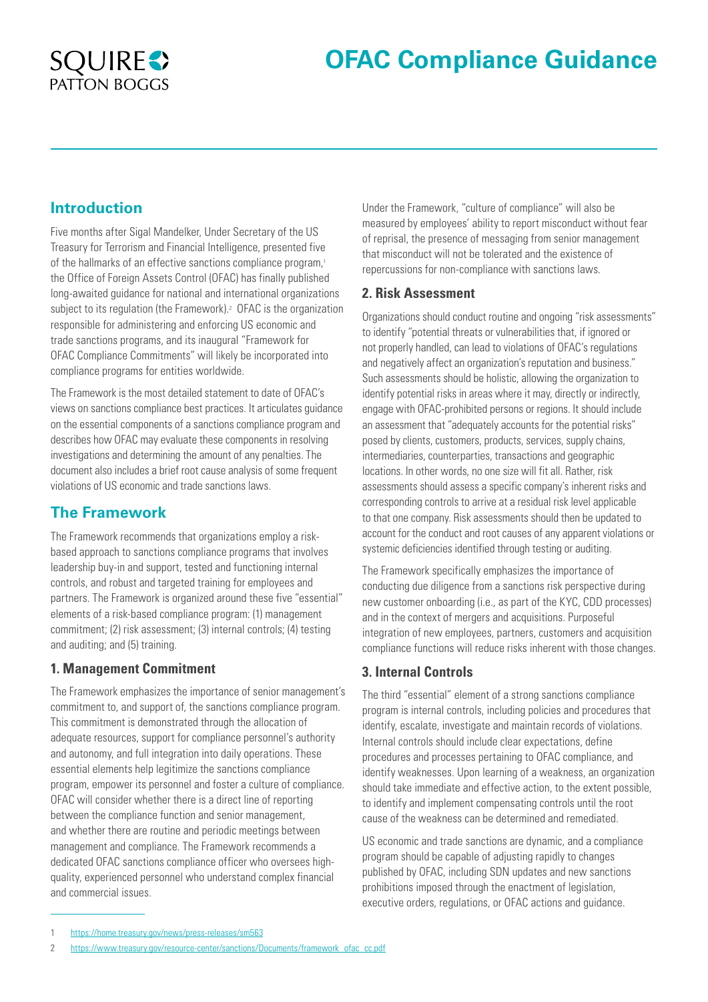

# **Introduction**

Five months after Sigal Mandelker, Under Secretary of the US Treasury for Terrorism and Financial Intelligence, presented five of the hallmarks of an effective sanctions compliance program,<sup>1</sup> the Office of Foreign Assets Control (OFAC) has finally published long-awaited guidance for national and international organizations subject to its regulation (the Framework).<sup>2</sup> OFAC is the organization responsible for administering and enforcing US economic and trade sanctions programs, and its inaugural "Framework for OFAC Compliance Commitments" will likely be incorporated into compliance programs for entities worldwide.

The Framework is the most detailed statement to date of OFAC's views on sanctions compliance best practices. It articulates guidance on the essential components of a sanctions compliance program and describes how OFAC may evaluate these components in resolving investigations and determining the amount of any penalties. The document also includes a brief root cause analysis of some frequent violations of US economic and trade sanctions laws.

## **The Framework**

The Framework recommends that organizations employ a riskbased approach to sanctions compliance programs that involves leadership buy-in and support, tested and functioning internal controls, and robust and targeted training for employees and partners. The Framework is organized around these five "essential" elements of a risk-based compliance program: (1) management commitment; (2) risk assessment; (3) internal controls; (4) testing and auditing; and (5) training.

### **1. Management Commitment**

The Framework emphasizes the importance of senior management's commitment to, and support of, the sanctions compliance program. This commitment is demonstrated through the allocation of adequate resources, support for compliance personnel's authority and autonomy, and full integration into daily operations. These essential elements help legitimize the sanctions compliance program, empower its personnel and foster a culture of compliance. OFAC will consider whether there is a direct line of reporting between the compliance function and senior management, and whether there are routine and periodic meetings between management and compliance. The Framework recommends a dedicated OFAC sanctions compliance officer who oversees highquality, experienced personnel who understand complex financial and commercial issues.

Under the Framework, "culture of compliance" will also be measured by employees' ability to report misconduct without fear of reprisal, the presence of messaging from senior management that misconduct will not be tolerated and the existence of repercussions for non-compliance with sanctions laws.

### **2. Risk Assessment**

Organizations should conduct routine and ongoing "risk assessments" to identify "potential threats or vulnerabilities that, if ignored or not properly handled, can lead to violations of OFAC's regulations and negatively affect an organization's reputation and business." Such assessments should be holistic, allowing the organization to identify potential risks in areas where it may, directly or indirectly, engage with OFAC-prohibited persons or regions. It should include an assessment that "adequately accounts for the potential risks" posed by clients, customers, products, services, supply chains, intermediaries, counterparties, transactions and geographic locations. In other words, no one size will fit all. Rather, risk assessments should assess a specific company's inherent risks and corresponding controls to arrive at a residual risk level applicable to that one company. Risk assessments should then be updated to account for the conduct and root causes of any apparent violations or systemic deficiencies identified through testing or auditing.

The Framework specifically emphasizes the importance of conducting due diligence from a sanctions risk perspective during new customer onboarding (i.e., as part of the KYC, CDD processes) and in the context of mergers and acquisitions. Purposeful integration of new employees, partners, customers and acquisition compliance functions will reduce risks inherent with those changes.

### **3. Internal Controls**

The third "essential" element of a strong sanctions compliance program is internal controls, including policies and procedures that identify, escalate, investigate and maintain records of violations. Internal controls should include clear expectations, define procedures and processes pertaining to OFAC compliance, and identify weaknesses. Upon learning of a weakness, an organization should take immediate and effective action, to the extent possible, to identify and implement compensating controls until the root cause of the weakness can be determined and remediated.

US economic and trade sanctions are dynamic, and a compliance program should be capable of adjusting rapidly to changes published by OFAC, including SDN updates and new sanctions prohibitions imposed through the enactment of legislation, executive orders, regulations, or OFAC actions and guidance.

<sup>1</sup> <https://home.treasury.gov/news/press-releases/sm563>

<sup>2</sup> [https://www.treasury.gov/resource-center/sanctions/Documents/framework\\_ofac\\_cc.pdf](https://www.treasury.gov/resource-center/sanctions/Documents/framework_ofac_cc.pdf)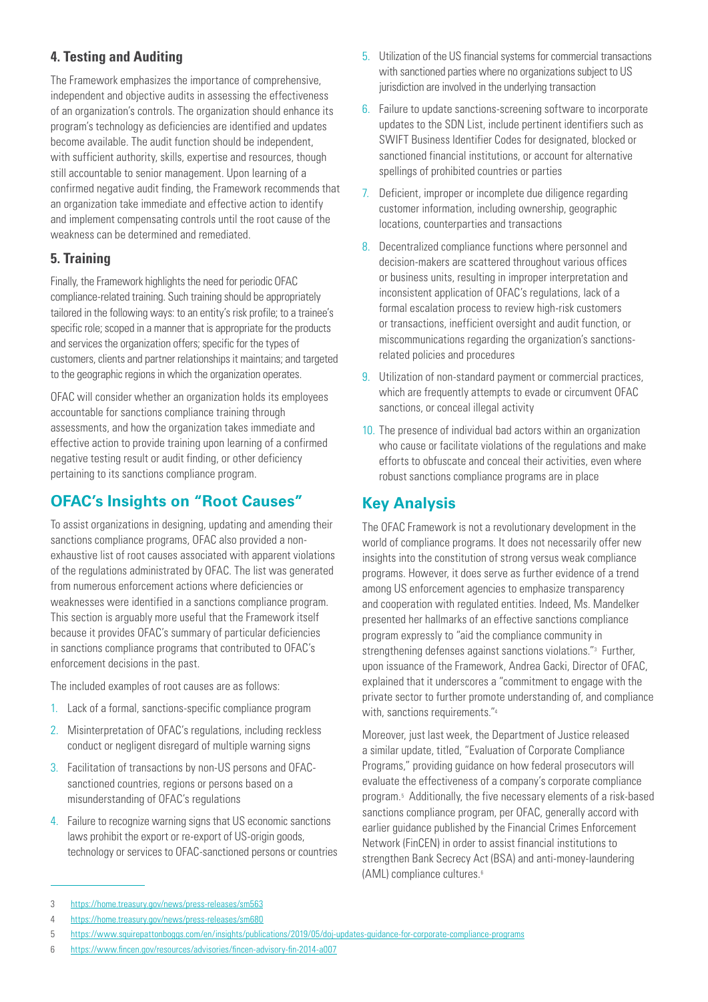## **4. Testing and Auditing**

The Framework emphasizes the importance of comprehensive, independent and objective audits in assessing the effectiveness of an organization's controls. The organization should enhance its program's technology as deficiencies are identified and updates become available. The audit function should be independent, with sufficient authority, skills, expertise and resources, though still accountable to senior management. Upon learning of a confirmed negative audit finding, the Framework recommends that an organization take immediate and effective action to identify and implement compensating controls until the root cause of the weakness can be determined and remediated.

## **5. Training**

Finally, the Framework highlights the need for periodic OFAC compliance-related training. Such training should be appropriately tailored in the following ways: to an entity's risk profile; to a trainee's specific role; scoped in a manner that is appropriate for the products and services the organization offers; specific for the types of customers, clients and partner relationships it maintains; and targeted to the geographic regions in which the organization operates.

OFAC will consider whether an organization holds its employees accountable for sanctions compliance training through assessments, and how the organization takes immediate and effective action to provide training upon learning of a confirmed negative testing result or audit finding, or other deficiency pertaining to its sanctions compliance program.

# **OFAC's Insights on "Root Causes"**

To assist organizations in designing, updating and amending their sanctions compliance programs, OFAC also provided a nonexhaustive list of root causes associated with apparent violations of the regulations administrated by OFAC. The list was generated from numerous enforcement actions where deficiencies or weaknesses were identified in a sanctions compliance program. This section is arguably more useful that the Framework itself because it provides OFAC's summary of particular deficiencies in sanctions compliance programs that contributed to OFAC's enforcement decisions in the past.

The included examples of root causes are as follows:

- 1. Lack of a formal, sanctions-specific compliance program
- 2. Misinterpretation of OFAC's regulations, including reckless conduct or negligent disregard of multiple warning signs
- 3. Facilitation of transactions by non-US persons and OFACsanctioned countries, regions or persons based on a misunderstanding of OFAC's regulations
- 4. Failure to recognize warning signs that US economic sanctions laws prohibit the export or re-export of US-origin goods, technology or services to OFAC-sanctioned persons or countries
- 5. Utilization of the US financial systems for commercial transactions with sanctioned parties where no organizations subject to US jurisdiction are involved in the underlying transaction
- 6. Failure to update sanctions-screening software to incorporate updates to the SDN List, include pertinent identifiers such as SWIFT Business Identifier Codes for designated, blocked or sanctioned financial institutions, or account for alternative spellings of prohibited countries or parties
- 7. Deficient, improper or incomplete due diligence regarding customer information, including ownership, geographic locations, counterparties and transactions
- 8. Decentralized compliance functions where personnel and decision-makers are scattered throughout various offices or business units, resulting in improper interpretation and inconsistent application of OFAC's regulations, lack of a formal escalation process to review high-risk customers or transactions, inefficient oversight and audit function, or miscommunications regarding the organization's sanctionsrelated policies and procedures
- 9. Utilization of non-standard payment or commercial practices, which are frequently attempts to evade or circumvent OFAC sanctions, or conceal illegal activity
- 10. The presence of individual bad actors within an organization who cause or facilitate violations of the regulations and make efforts to obfuscate and conceal their activities, even where robust sanctions compliance programs are in place

# **Key Analysis**

The OFAC Framework is not a revolutionary development in the world of compliance programs. It does not necessarily offer new insights into the constitution of strong versus weak compliance programs. However, it does serve as further evidence of a trend among US enforcement agencies to emphasize transparency and cooperation with regulated entities. Indeed, Ms. Mandelker presented her hallmarks of an effective sanctions compliance program expressly to "aid the compliance community in strengthening defenses against sanctions violations."3 Further, upon issuance of the Framework, Andrea Gacki, Director of OFAC, explained that it underscores a "commitment to engage with the private sector to further promote understanding of, and compliance with, sanctions requirements."<sup>4</sup>

Moreover, just last week, the Department of Justice released a similar update, titled, "Evaluation of Corporate Compliance Programs," providing guidance on how federal prosecutors will evaluate the effectiveness of a company's corporate compliance program.5 Additionally, the five necessary elements of a risk-based sanctions compliance program, per OFAC, generally accord with earlier guidance published by the Financial Crimes Enforcement Network (FinCEN) in order to assist financial institutions to strengthen Bank Secrecy Act (BSA) and anti-money-laundering (AML) compliance cultures.6

<sup>3</sup> <https://home.treasury.gov/news/press-releases/sm563>

<sup>4</sup> <https://home.treasury.gov/news/press-releases/sm680>

<sup>5</sup> <https://www.squirepattonboggs.com/en/insights/publications/2019/05/doj-updates-guidance-for-corporate-compliance-programs>

<sup>6</sup> <https://www.fincen.gov/resources/advisories/fincen-advisory-fin-2014-a007>